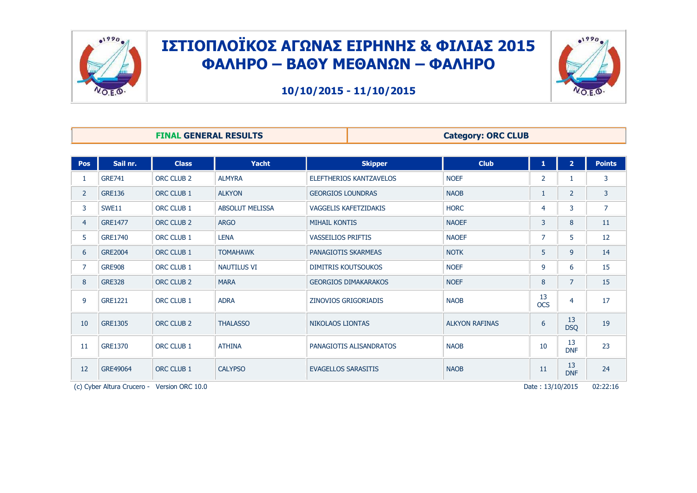



**10/10/2015 - 11/10/2015**

**FINAL GENERAL RESULTS Category: ORC CLUB** 

| <b>Pos</b>     | Sail nr.                   | <b>Class</b>          | Yacht                  | <b>Skipper</b>                 | <b>Club</b>           | 1                | 2 <sup>1</sup>   | <b>Points</b>  |  |  |  |  |
|----------------|----------------------------|-----------------------|------------------------|--------------------------------|-----------------------|------------------|------------------|----------------|--|--|--|--|
| 1              | <b>GRE741</b>              | ORC CLUB <sub>2</sub> | <b>ALMYRA</b>          | <b>ELEFTHERIOS KANTZAVELOS</b> | <b>NOEF</b>           | $\overline{2}$   | 1                | 3              |  |  |  |  |
| $\overline{2}$ | <b>GRE136</b>              | ORC CLUB 1            | <b>ALKYON</b>          | <b>GEORGIOS LOUNDRAS</b>       | <b>NAOB</b>           | $\mathbf{1}$     | $\overline{2}$   | 3              |  |  |  |  |
| 3              | <b>SWE11</b>               | ORC CLUB 1            | <b>ABSOLUT MELISSA</b> | <b>VAGGELIS KAFETZIDAKIS</b>   | <b>HORC</b>           | 4                | 3                | $\overline{7}$ |  |  |  |  |
| $\overline{4}$ | <b>GRE1477</b>             | ORC CLUB 2            | <b>ARGO</b>            | <b>MIHAIL KONTIS</b>           | <b>NAOEF</b>          | 3                | 8                | 11             |  |  |  |  |
| 5              | <b>GRE1740</b>             | ORC CLUB 1            | <b>LENA</b>            | <b>VASSEILIOS PRIFTIS</b>      | <b>NAOEF</b>          | $\overline{7}$   | 5                | 12             |  |  |  |  |
| 6              | <b>GRE2004</b>             | ORC CLUB 1            | <b>TOMAHAWK</b>        | PANAGIOTIS SKARMEAS            | <b>NOTK</b>           | 5                | 9                | 14             |  |  |  |  |
| 7              | <b>GRE908</b>              | ORC CLUB 1            | <b>NAUTILUS VI</b>     | <b>DIMITRIS KOUTSOUKOS</b>     | <b>NOEF</b>           | 9                | 6                | 15             |  |  |  |  |
| 8              | <b>GRE328</b>              | ORC CLUB 2            | <b>MARA</b>            | <b>GEORGIOS DIMAKARAKOS</b>    | <b>NOEF</b>           | 8                | $\overline{7}$   | 15             |  |  |  |  |
| 9              | <b>GRE1221</b>             | ORC CLUB 1            | <b>ADRA</b>            | <b>ZINOVIOS GRIGORIADIS</b>    | <b>NAOB</b>           | 13<br><b>OCS</b> | $\overline{4}$   | 17             |  |  |  |  |
| 10             | <b>GRE1305</b>             | ORC CLUB <sub>2</sub> | <b>THALASSO</b>        | <b>NIKOLAOS LIONTAS</b>        | <b>ALKYON RAFINAS</b> | 6                | 13<br><b>DSQ</b> | 19             |  |  |  |  |
| 11             | <b>GRE1370</b>             | ORC CLUB 1            | <b>ATHINA</b>          | PANAGIOTIS ALISANDRATOS        | <b>NAOB</b>           | 10               | 13<br><b>DNF</b> | 23             |  |  |  |  |
| 12             | GRE49064                   | ORC CLUB 1            | <b>CALYPSO</b>         | <b>EVAGELLOS SARASITIS</b>     | <b>NAOB</b>           | 11               | 13<br><b>DNF</b> | 24             |  |  |  |  |
|                | (c) Cyber Altura Crucero - | Version ORC 10.0      |                        |                                |                       | Date: 13/10/2015 |                  | 02:22:16       |  |  |  |  |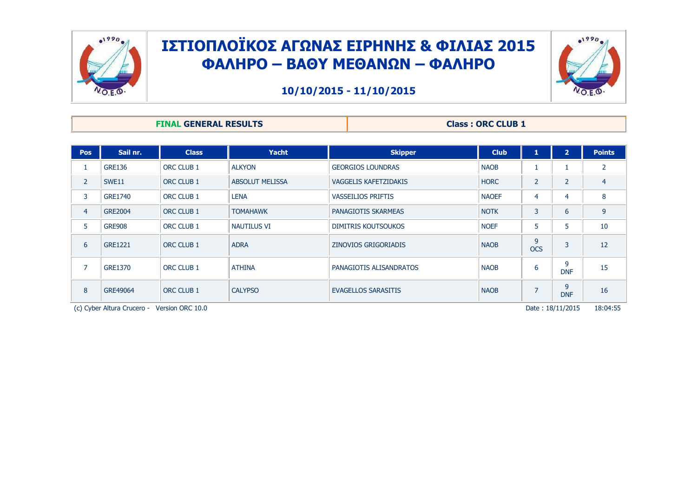



| <b>FINAL GENERAL RESULTS</b> | <b>Class: ORC CLUB 1</b> |
|------------------------------|--------------------------|
|                              |                          |

| <b>Pos</b>     | Sail nr.                   | <b>Class</b>     | <b>Yacht</b>           | <b>Skipper</b>               | <b>Club</b>  | 1               | $\overline{2}$   | <b>Points</b>  |
|----------------|----------------------------|------------------|------------------------|------------------------------|--------------|-----------------|------------------|----------------|
|                | <b>GRE136</b>              | ORC CLUB 1       | <b>ALKYON</b>          | <b>GEORGIOS LOUNDRAS</b>     | <b>NAOB</b>  |                 |                  | $\overline{2}$ |
| $\overline{2}$ | SWE11                      | ORC CLUB 1       | <b>ABSOLUT MELISSA</b> | <b>VAGGELIS KAFETZIDAKIS</b> | <b>HORC</b>  | $\overline{2}$  | 2                | $\overline{4}$ |
| 3              | <b>GRE1740</b>             | ORC CLUB 1       | <b>LENA</b>            | <b>VASSEILIOS PRIFTIS</b>    | <b>NAOEF</b> | $\overline{4}$  | 4                | 8              |
| $\overline{4}$ | <b>GRE2004</b>             | ORC CLUB 1       | <b>TOMAHAWK</b>        | <b>PANAGIOTIS SKARMEAS</b>   | <b>NOTK</b>  | 3               | 6                | 9              |
| 5              | <b>GRE908</b>              | ORC CLUB 1       | <b>NAUTILUS VI</b>     | <b>DIMITRIS KOUTSOUKOS</b>   | <b>NOEF</b>  | 5               | 5                | 10             |
| 6              | <b>GRE1221</b>             | ORC CLUB 1       | <b>ADRA</b>            | ZINOVIOS GRIGORIADIS         | <b>NAOB</b>  | 9<br><b>OCS</b> | 3                | 12             |
| 7              | <b>GRE1370</b>             | ORC CLUB 1       | <b>ATHINA</b>          | PANAGIOTIS ALISANDRATOS      | <b>NAOB</b>  | 6               | 9<br><b>DNF</b>  | 15             |
| 8              | GRE49064                   | ORC CLUB 1       | <b>CALYPSO</b>         | <b>EVAGELLOS SARASITIS</b>   | <b>NAOB</b>  | $\overline{7}$  | 9<br><b>DNF</b>  | 16             |
|                | (c) Cyber Altura Crucero - | Version ORC 10.0 |                        |                              |              |                 | Date: 18/11/2015 | 18:04:55       |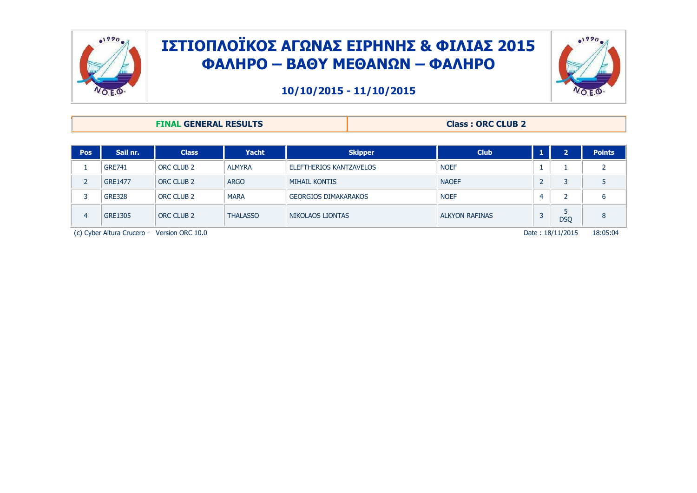



**10/10/2015 - 11/10/2015**

#### **FINAL GENERAL RESULTS Class : ORC CLUB 2**

| <b>Pos</b>                                                                  | Sail nr.       | <b>Class</b> | <b>Yacht</b>    | <b>Skipper</b>              | <b>Club</b>           |  | $\mathbf{\mathbf{a}}$ | <b>Points</b> |  |  |
|-----------------------------------------------------------------------------|----------------|--------------|-----------------|-----------------------------|-----------------------|--|-----------------------|---------------|--|--|
|                                                                             | <b>GRE741</b>  | ORC CLUB 2   | <b>ALMYRA</b>   | ELEFTHERIOS KANTZAVELOS     | <b>NOEF</b>           |  |                       |               |  |  |
|                                                                             | <b>GRE1477</b> | ORC CLUB 2   | <b>ARGO</b>     | <b>MIHAIL KONTIS</b>        | <b>NAOEF</b>          |  |                       |               |  |  |
|                                                                             | <b>GRE328</b>  | ORC CLUB 2   | <b>MARA</b>     | <b>GEORGIOS DIMAKARAKOS</b> | <b>NOEF</b>           |  |                       | 6             |  |  |
| 4                                                                           | <b>GRE1305</b> | ORC CLUB 2   | <b>THALASSO</b> | NIKOLAOS LIONTAS            | <b>ALKYON RAFINAS</b> |  | <b>DSQ</b>            | 8             |  |  |
| 18:05:04<br>Date: 18/11/2015<br>(c) Cyber Altura Crucero - Version ORC 10.0 |                |              |                 |                             |                       |  |                       |               |  |  |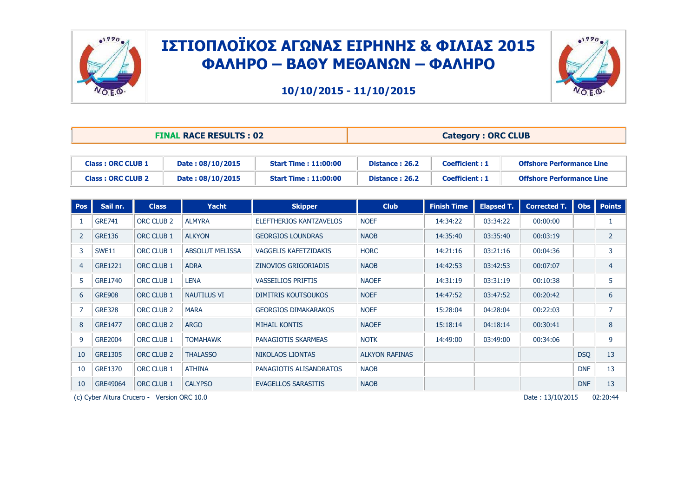



|                          | <b>FINAL RACE RESULTS: 02</b> |                              | <b>Category: ORC CLUB</b> |                       |                                  |  |  |  |
|--------------------------|-------------------------------|------------------------------|---------------------------|-----------------------|----------------------------------|--|--|--|
|                          |                               |                              |                           |                       |                                  |  |  |  |
| <b>Class: ORC CLUB 1</b> | Date: 08/10/2015              | <b>Start Time : 11:00:00</b> | Distance: 26.2            | <b>Coefficient: 1</b> | <b>Offshore Performance Line</b> |  |  |  |
| <b>Class: ORC CLUB 2</b> | Date: 08/10/2015              | <b>Start Time : 11:00:00</b> | Distance: 26.2            | <b>Coefficient: 1</b> | <b>Offshore Performance Line</b> |  |  |  |

| <b>Pos</b>     | Sail nr.       | <b>Class</b>                                | Yacht                  | <b>Skipper</b>               | <b>Club</b>           | <b>Finish Time</b> | <b>Elapsed T.</b> | <b>Corrected T.</b> | <b>Obs</b> | <b>Points</b>  |
|----------------|----------------|---------------------------------------------|------------------------|------------------------------|-----------------------|--------------------|-------------------|---------------------|------------|----------------|
|                | <b>GRE741</b>  | ORC CLUB <sub>2</sub>                       | <b>ALMYRA</b>          | ELEFTHERIOS KANTZAVELOS      | <b>NOEF</b>           | 14:34:22           | 03:34:22          | 00:00:00            |            |                |
| $\overline{2}$ | <b>GRE136</b>  | ORC CLUB 1                                  | <b>ALKYON</b>          | <b>GEORGIOS LOUNDRAS</b>     | <b>NAOB</b>           | 14:35:40           | 03:35:40          | 00:03:19            |            | $\overline{2}$ |
| 3              | SWE11          | ORC CLUB 1                                  | <b>ABSOLUT MELISSA</b> | <b>VAGGELIS KAFETZIDAKIS</b> | <b>HORC</b>           | 14:21:16           | 03:21:16          | 00:04:36            |            | 3              |
| $\overline{4}$ | GRE1221        | ORC CLUB 1                                  | <b>ADRA</b>            | <b>ZINOVIOS GRIGORIADIS</b>  | <b>NAOB</b>           | 14:42:53           | 03:42:53          | 00:07:07            |            | $\overline{4}$ |
| 5              | <b>GRE1740</b> | ORC CLUB 1                                  | <b>LENA</b>            | <b>VASSEILIOS PRIFTIS</b>    | <b>NAOEF</b>          | 14:31:19           | 03:31:19          | 00:10:38            |            | 5              |
| 6              | <b>GRE908</b>  | ORC CLUB 1                                  | <b>NAUTILUS VI</b>     | <b>DIMITRIS KOUTSOUKOS</b>   | <b>NOEF</b>           | 14:47:52           | 03:47:52          | 00:20:42            |            | 6              |
|                | <b>GRE328</b>  | ORC CLUB <sub>2</sub>                       | <b>MARA</b>            | <b>GEORGIOS DIMAKARAKOS</b>  | <b>NOEF</b>           | 15:28:04           | 04:28:04          | 00:22:03            |            | $\overline{7}$ |
| 8              | <b>GRE1477</b> | ORC CLUB <sub>2</sub>                       | <b>ARGO</b>            | <b>MIHAIL KONTIS</b>         | <b>NAOEF</b>          | 15:18:14           | 04:18:14          | 00:30:41            |            | 8              |
| 9              | <b>GRE2004</b> | ORC CLUB 1                                  | <b>TOMAHAWK</b>        | PANAGIOTIS SKARMEAS          | <b>NOTK</b>           | 14:49:00           | 03:49:00          | 00:34:06            |            | 9              |
| 10             | <b>GRE1305</b> | ORC CLUB <sub>2</sub>                       | <b>THALASSO</b>        | <b>NIKOLAOS LIONTAS</b>      | <b>ALKYON RAFINAS</b> |                    |                   |                     | <b>DSQ</b> | 13             |
| 10             | <b>GRE1370</b> | ORC CLUB 1                                  | <b>ATHINA</b>          | PANAGIOTIS ALISANDRATOS      | <b>NAOB</b>           |                    |                   |                     | <b>DNF</b> | 13             |
| 10             | GRE49064       | ORC CLUB 1                                  | <b>CALYPSO</b>         | EVAGELLOS SARASITIS          | <b>NAOB</b>           |                    |                   |                     | <b>DNF</b> | 13             |
|                |                | (c) Cyber Altura Crucero - Version ORC 10.0 |                        |                              |                       |                    |                   | Date: 13/10/2015    |            | 02:20:44       |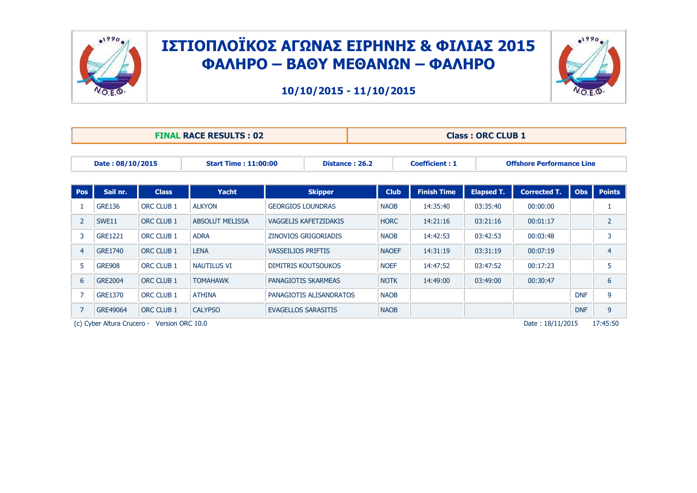



**10/10/2015 - 11/10/2015**

|                |                  |              | <b>FINAL RACE RESULTS: 02</b> |                              | <b>Class: ORC CLUB 1</b> |              |                       |                   |                                  |            |                |  |
|----------------|------------------|--------------|-------------------------------|------------------------------|--------------------------|--------------|-----------------------|-------------------|----------------------------------|------------|----------------|--|
|                | Date: 08/10/2015 |              | <b>Start Time: 11:00:00</b>   |                              | Distance: 26.2           |              | <b>Coefficient: 1</b> |                   | <b>Offshore Performance Line</b> |            |                |  |
| Pos            | Sail nr.         | <b>Class</b> | Yacht                         | <b>Skipper</b>               |                          | <b>Club</b>  | <b>Finish Time</b>    | <b>Elapsed T.</b> | <b>Corrected T.</b>              | <b>Obs</b> | <b>Points</b>  |  |
|                | <b>GRE136</b>    | ORC CLUB 1   | <b>ALKYON</b>                 | <b>GEORGIOS LOUNDRAS</b>     |                          | <b>NAOB</b>  | 14:35:40              | 03:35:40          | 00:00:00                         |            | 1              |  |
| 2              | SWE11            | ORC CLUB 1   | <b>ABSOLUT MELISSA</b>        | <b>VAGGELIS KAFETZIDAKIS</b> |                          | <b>HORC</b>  | 14:21:16              | 03:21:16          | 00:01:17                         |            | $\overline{2}$ |  |
| 3              | <b>GRE1221</b>   | ORC CLUB 1   | <b>ADRA</b>                   | ZINOVIOS GRIGORIADIS         |                          | <b>NAOB</b>  | 14:42:53              | 03:42:53          | 00:03:48                         |            | 3              |  |
| $\overline{4}$ | <b>GRE1740</b>   | ORC CLUB 1   | <b>LENA</b>                   | <b>VASSEILIOS PRIFTIS</b>    |                          | <b>NAOEF</b> | 14:31:19              | 03:31:19          | 00:07:19                         |            | $\overline{4}$ |  |
| 5              | <b>GRE908</b>    | ORC CLUB 1   | <b>NAUTILUS VI</b>            | <b>DIMITRIS KOUTSOUKOS</b>   |                          | <b>NOEF</b>  | 14:47:52              | 03:47:52          | 00:17:23                         |            | 5              |  |
| 6              | <b>GRE2004</b>   | ORC CLUB 1   | <b>TOMAHAWK</b>               | PANAGIOTIS SKARMEAS          |                          | <b>NOTK</b>  | 14:49:00              | 03:49:00          | 00:30:47                         |            | 6              |  |
| $\overline{7}$ | <b>GRE1370</b>   | ORC CLUB 1   | <b>ATHINA</b>                 | PANAGIOTIS ALISANDRATOS      |                          | <b>NAOB</b>  |                       |                   |                                  | <b>DNF</b> | 9              |  |
| $\overline{7}$ | GRE49064         | ORC CLUB 1   | <b>CALYPSO</b>                | <b>EVAGELLOS SARASITIS</b>   |                          | <b>NAOB</b>  |                       |                   |                                  | <b>DNF</b> | 9              |  |

(c) Cyber Altura Crucero - Version ORC 10.0 PFIT-19 Pate : 18/11/2015 17:45:50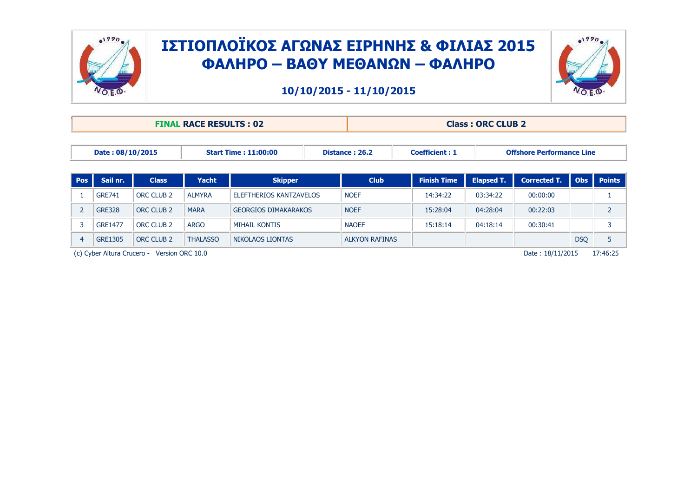



|                |                                                                                                                                |                   | <b>FINAL RACE RESULTS: 02</b> |                             |                                               | <b>Class: ORC CLUB 2</b> |                    |                   |                     |            |                |  |  |
|----------------|--------------------------------------------------------------------------------------------------------------------------------|-------------------|-------------------------------|-----------------------------|-----------------------------------------------|--------------------------|--------------------|-------------------|---------------------|------------|----------------|--|--|
|                | Date: 08/10/2015<br><b>Start Time: 11:00:00</b><br>Distance: 26.2<br><b>Coefficient: 1</b><br><b>Offshore Performance Line</b> |                   |                               |                             |                                               |                          |                    |                   |                     |            |                |  |  |
| <b>Pos</b>     | Sail nr.                                                                                                                       | <b>Class</b>      | <b>Yacht</b>                  | <b>Skipper</b>              |                                               | <b>Club</b>              | <b>Finish Time</b> | <b>Elapsed T.</b> | <b>Corrected T.</b> | <b>Obs</b> | <b>Points</b>  |  |  |
|                | <b>GRE741</b>                                                                                                                  | <b>ORC CLUB 2</b> | <b>ALMYRA</b>                 |                             | <b>NOEF</b><br><b>ELEFTHERIOS KANTZAVELOS</b> |                          | 14:34:22           | 03:34:22          | 00:00:00            |            |                |  |  |
|                | <b>GRE328</b>                                                                                                                  | <b>ORC CLUB 2</b> | <b>MARA</b>                   | <b>GEORGIOS DIMAKARAKOS</b> |                                               | <b>NOEF</b>              | 15:28:04           | 04:28:04          | 00:22:03            |            | $\overline{2}$ |  |  |
|                | <b>GRE1477</b>                                                                                                                 | <b>ORC CLUB 2</b> | <b>ARGO</b>                   | <b>MIHAIL KONTIS</b>        |                                               | <b>NAOEF</b>             | 15:18:14           | 04:18:14          | 00:30:41            |            | 3              |  |  |
| $\overline{4}$ | 5<br><b>DSQ</b><br><b>GRE1305</b><br><b>ORC CLUB 2</b><br><b>THALASSO</b><br><b>NIKOLAOS LIONTAS</b><br><b>ALKYON RAFINAS</b>  |                   |                               |                             |                                               |                          |                    |                   |                     |            |                |  |  |
|                | 17:46:25<br>(c) Cyber Altura Crucero -<br>Date: 18/11/2015<br>Version ORC 10.0                                                 |                   |                               |                             |                                               |                          |                    |                   |                     |            |                |  |  |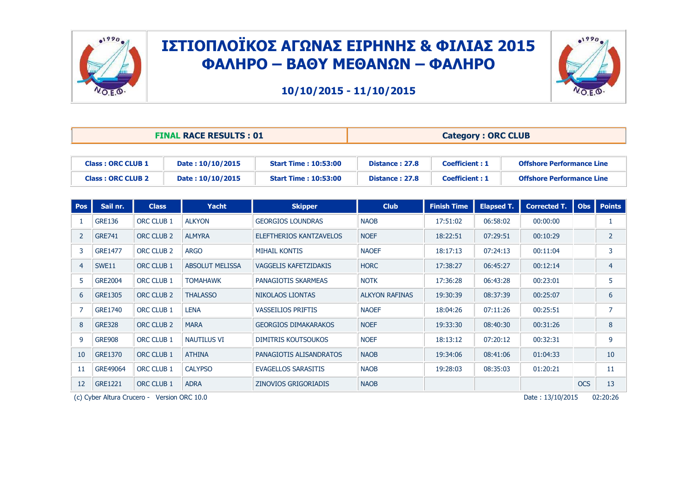



**10/10/2015 - 11/10/2015**

|                          | <b>FINAL RACE RESULTS: 01</b> |                              | <b>Category: ORC CLUB</b> |                       |                                  |  |  |  |
|--------------------------|-------------------------------|------------------------------|---------------------------|-----------------------|----------------------------------|--|--|--|
|                          |                               |                              |                           |                       |                                  |  |  |  |
| <b>Class: ORC CLUB 1</b> | Date: 10/10/2015              | <b>Start Time : 10:53:00</b> | Distance: 27.8            | <b>Coefficient: 1</b> | <b>Offshore Performance Line</b> |  |  |  |
| <b>Class: ORC CLUB 2</b> | Date: 10/10/2015              | <b>Start Time: 10:53:00</b>  | Distance: 27.8            | <b>Coefficient: 1</b> | <b>Offshore Performance Line</b> |  |  |  |

| <b>Pos</b>     | Sail nr.       | <b>Class</b>          | <b>Yacht</b>           | <b>Skipper</b>               | <b>Club</b>           | <b>Finish Time</b> | <b>Elapsed T.</b> | <b>Corrected T.</b> | <b>Obs</b> | <b>Points</b>  |
|----------------|----------------|-----------------------|------------------------|------------------------------|-----------------------|--------------------|-------------------|---------------------|------------|----------------|
|                | <b>GRE136</b>  | ORC CLUB 1            | <b>ALKYON</b>          | <b>GEORGIOS LOUNDRAS</b>     | <b>NAOB</b>           | 17:51:02           | 06:58:02          | 00:00:00            |            |                |
| $\overline{2}$ | <b>GRE741</b>  | ORC CLUB <sub>2</sub> | <b>ALMYRA</b>          | ELEFTHERIOS KANTZAVELOS      | <b>NOEF</b>           | 18:22:51           | 07:29:51          | 00:10:29            |            | $\overline{2}$ |
| 3              | <b>GRE1477</b> | ORC CLUB <sub>2</sub> | <b>ARGO</b>            | <b>MIHAIL KONTIS</b>         | <b>NAOEF</b>          | 18:17:13           | 07:24:13          | 00:11:04            |            | 3              |
| $\overline{4}$ | SWE11          | <b>ORC CLUB 1</b>     | <b>ABSOLUT MELISSA</b> | <b>VAGGELIS KAFETZIDAKIS</b> | <b>HORC</b>           | 17:38:27           | 06:45:27          | 00:12:14            |            | $\overline{4}$ |
| 5              | <b>GRE2004</b> | ORC CLUB 1            | <b>TOMAHAWK</b>        | PANAGIOTIS SKARMEAS          | <b>NOTK</b>           | 17:36:28           | 06:43:28          | 00:23:01            |            | 5              |
| 6              | <b>GRE1305</b> | ORC CLUB <sub>2</sub> | <b>THALASSO</b>        | NIKOLAOS LIONTAS             | <b>ALKYON RAFINAS</b> | 19:30:39           | 08:37:39          | 00:25:07            |            | 6              |
| $\overline{7}$ | GRE1740        | ORC CLUB 1            | <b>LENA</b>            | <b>VASSEILIOS PRIFTIS</b>    | <b>NAOEF</b>          | 18:04:26           | 07:11:26          | 00:25:51            |            | $\overline{7}$ |
| 8              | <b>GRE328</b>  | ORC CLUB <sub>2</sub> | <b>MARA</b>            | <b>GEORGIOS DIMAKARAKOS</b>  | <b>NOEF</b>           | 19:33:30           | 08:40:30          | 00:31:26            |            | 8              |
| 9              | <b>GRE908</b>  | ORC CLUB 1            | <b>NAUTILUS VI</b>     | <b>DIMITRIS KOUTSOUKOS</b>   | <b>NOEF</b>           | 18:13:12           | 07:20:12          | 00:32:31            |            | 9              |
| 10             | <b>GRE1370</b> | ORC CLUB 1            | <b>ATHINA</b>          | PANAGIOTIS ALISANDRATOS      | <b>NAOB</b>           | 19:34:06           | 08:41:06          | 01:04:33            |            | 10             |
| 11             | GRE49064       | ORC CLUB 1            | <b>CALYPSO</b>         | <b>EVAGELLOS SARASITIS</b>   | <b>NAOB</b>           | 19:28:03           | 08:35:03          | 01:20:21            |            | 11             |
| 12             | GRE1221        | ORC CLUB 1            | <b>ADRA</b>            | <b>ZINOVIOS GRIGORIADIS</b>  | <b>NAOB</b>           |                    |                   |                     | <b>OCS</b> | 13             |

(c) Cyber Altura Crucero - Version ORC  $10.0$  Date :  $13/10/2015$  02:20:26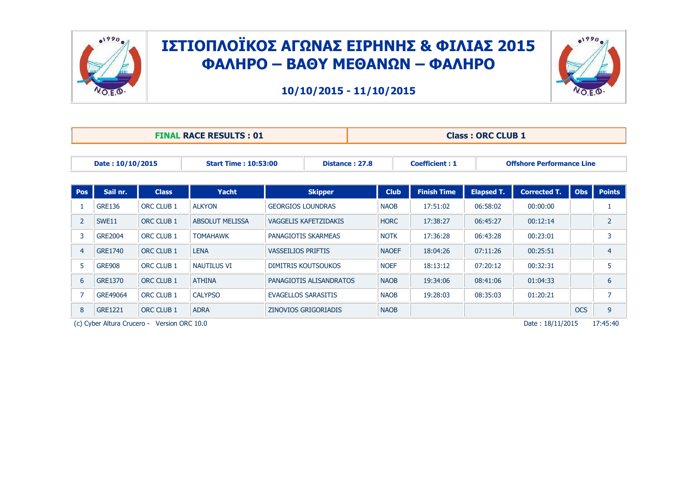



**10/10/2015 - 11/10/2015**

|                |                  |                   | <b>FINAL RACE RESULTS: 01</b> |                            | <b>Class: ORC CLUB 1</b> |              |                       |                   |                                  |            |                |  |
|----------------|------------------|-------------------|-------------------------------|----------------------------|--------------------------|--------------|-----------------------|-------------------|----------------------------------|------------|----------------|--|
|                | Date: 10/10/2015 |                   | <b>Start Time: 10:53:00</b>   |                            | Distance: 27.8           |              | <b>Coefficient: 1</b> |                   | <b>Offshore Performance Line</b> |            |                |  |
| Pos            | Sail nr.         | <b>Class</b>      | Yacht                         | <b>Skipper</b>             |                          | <b>Club</b>  | <b>Finish Time</b>    | <b>Elapsed T.</b> | <b>Corrected T.</b>              | <b>Obs</b> | <b>Points</b>  |  |
|                | <b>GRE136</b>    | ORC CLUB 1        | <b>ALKYON</b>                 | <b>GEORGIOS LOUNDRAS</b>   |                          | <b>NAOB</b>  | 17:51:02              | 06:58:02          | 00:00:00                         |            | 1              |  |
| 2              | SWE11            | ORC CLUB 1        | <b>ABSOLUT MELISSA</b>        | VAGGELIS KAFETZIDAKIS      |                          | <b>HORC</b>  | 17:38:27              | 06:45:27          | 00:12:14                         |            | $\overline{2}$ |  |
| 3              | <b>GRE2004</b>   | ORC CLUB 1        | <b>TOMAHAWK</b>               | PANAGIOTIS SKARMEAS        |                          | <b>NOTK</b>  | 17:36:28              | 06:43:28          | 00:23:01                         |            | 3              |  |
| $\overline{4}$ | <b>GRE1740</b>   | ORC CLUB 1        | <b>LENA</b>                   | <b>VASSEILIOS PRIFTIS</b>  |                          | <b>NAOEF</b> | 18:04:26              | 07:11:26          | 00:25:51                         |            | $\overline{4}$ |  |
| 5              | <b>GRE908</b>    | ORC CLUB 1        | <b>NAUTILUS VI</b>            | <b>DIMITRIS KOUTSOUKOS</b> |                          | <b>NOEF</b>  | 18:13:12              | 07:20:12          | 00:32:31                         |            | 5              |  |
| 6              | <b>GRE1370</b>   | ORC CLUB 1        | <b>ATHINA</b>                 | PANAGIOTIS ALISANDRATOS    |                          | <b>NAOB</b>  | 19:34:06              | 08:41:06          | 01:04:33                         |            | 6              |  |
|                | GRE49064         | ORC CLUB 1        | <b>CALYPSO</b>                | <b>EVAGELLOS SARASITIS</b> |                          | <b>NAOB</b>  | 19:28:03              | 08:35:03          | 01:20:21                         |            | $\overline{7}$ |  |
| 8              | <b>GRE1221</b>   | <b>ORC CLUB 1</b> | <b>ADRA</b>                   | ZINOVIOS GRIGORIADIS       |                          | <b>NAOB</b>  |                       |                   |                                  | <b>OCS</b> | 9              |  |

(c) Cyber Altura Crucero - Version ORC 10.0 PFIT-195:40